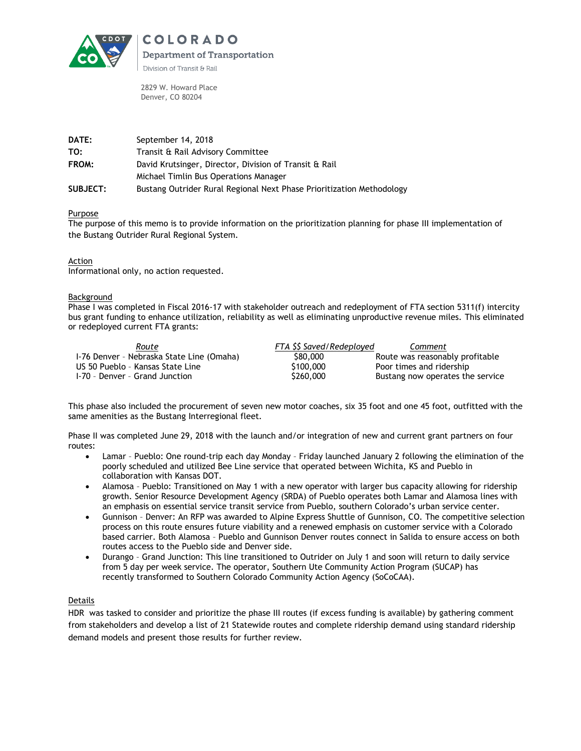

2829 W. Howard Place Denver, CO 80204

| DATE:           | September 14, 2018                                                    |  |  |
|-----------------|-----------------------------------------------------------------------|--|--|
| TO:             | Transit & Rail Advisory Committee                                     |  |  |
| FROM:           | David Krutsinger, Director, Division of Transit & Rail                |  |  |
|                 | Michael Timlin Bus Operations Manager                                 |  |  |
| <b>SUBJECT:</b> | Bustang Outrider Rural Regional Next Phase Prioritization Methodology |  |  |

Purpose

The purpose of this memo is to provide information on the prioritization planning for phase III implementation of the Bustang Outrider Rural Regional System.

### Action

Informational only, no action requested.

#### Background

Phase I was completed in Fiscal 2016-17 with stakeholder outreach and redeployment of FTA section 5311(f) intercity bus grant funding to enhance utilization, reliability as well as eliminating unproductive revenue miles. This eliminated or redeployed current FTA grants:

| Route                                     | FTA SS Saved/Redeploved | Comment                          |
|-------------------------------------------|-------------------------|----------------------------------|
| I-76 Denver - Nebraska State Line (Omaha) | \$80,000                | Route was reasonably profitable  |
| US 50 Pueblo - Kansas State Line          | \$100,000               | Poor times and ridership         |
| 1-70 - Denver - Grand Junction            | \$260,000               | Bustang now operates the service |

This phase also included the procurement of seven new motor coaches, six 35 foot and one 45 foot, outfitted with the same amenities as the Bustang Interregional fleet.

Phase II was completed June 29, 2018 with the launch and/or integration of new and current grant partners on four routes:

- Lamar Pueblo: One round-trip each day Monday Friday launched January 2 following the elimination of the poorly scheduled and utilized Bee Line service that operated between Wichita, KS and Pueblo in collaboration with Kansas DOT.
- Alamosa Pueblo: Transitioned on May 1 with a new operator with larger bus capacity allowing for ridership growth. Senior Resource Development Agency (SRDA) of Pueblo operates both Lamar and Alamosa lines with an emphasis on essential service transit service from Pueblo, southern Colorado's urban service center.
- Gunnison Denver: An RFP was awarded to Alpine Express Shuttle of Gunnison, CO. The competitive selection process on this route ensures future viability and a renewed emphasis on customer service with a Colorado based carrier. Both Alamosa – Pueblo and Gunnison Denver routes connect in Salida to ensure access on both routes access to the Pueblo side and Denver side.
- Durango Grand Junction: This line transitioned to Outrider on July 1 and soon will return to daily service from 5 day per week service. The operator, Southern Ute Community Action Program (SUCAP) has recently transformed to Southern Colorado Community Action Agency (SoCoCAA).

### Details

HDR was tasked to consider and prioritize the phase III routes (if excess funding is available) by gathering comment from stakeholders and develop a list of 21 Statewide routes and complete ridership demand using standard ridership demand models and present those results for further review.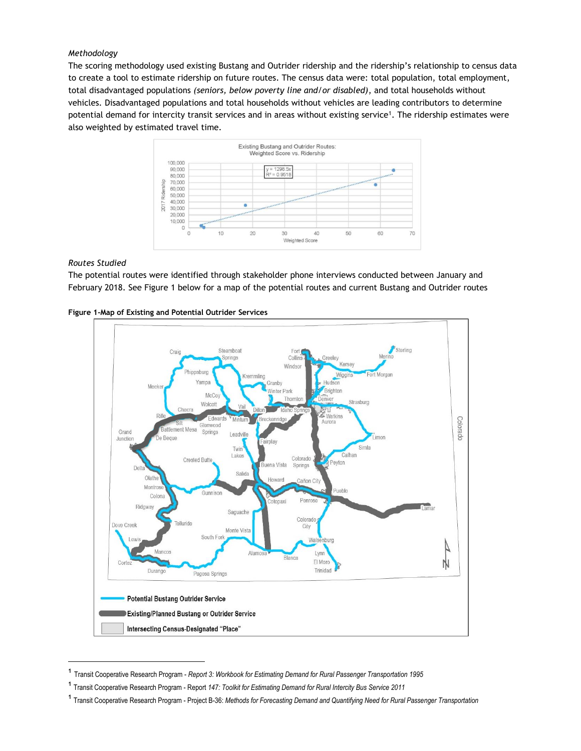## *Methodology*

The scoring methodology used existing Bustang and Outrider ridership and the ridership's relationship to census data to create a tool to estimate ridership on future routes. The census data were: total population, total employment, total disadvantaged populations *(seniors, below poverty line and/or disabled)*, and total households without vehicles*.* Disadvantaged populations and total households without vehicles are leading contributors to determine potential demand for intercity transit services and in areas without existing service<sup>1</sup>. The ridership estimates were also weighted by estimated travel time.



### *Routes Studied*

 $\overline{a}$ 

The potential routes were identified through stakeholder phone interviews conducted between January and February 2018. See Figure 1 below for a map of the potential routes and current Bustang and Outrider routes





¹ Transit Cooperative Research Program - *Report 3: Workbook for Estimating Demand for Rural Passenger Transportation <sup>1995</sup>*

<sup>&</sup>lt;sup>1</sup> Transit Cooperative Research Program - Report 147: Toolkit for Estimating Demand for Rural Intercity Bus Service 2011

<sup>&</sup>lt;sup>1</sup> Transit Cooperative Research Program - Project B-36: Methods for Forecasting Demand and Quantifying Need for Rural Passenger Transportation